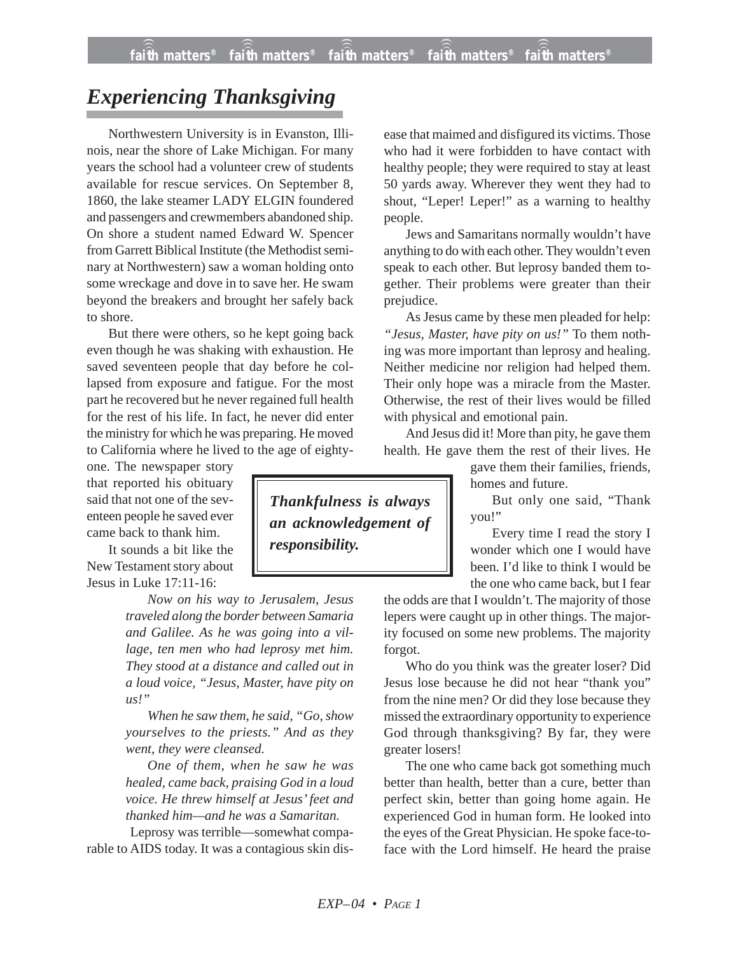## *Experiencing Thanksgiving*

Northwestern University is in Evanston, Illinois, near the shore of Lake Michigan. For many years the school had a volunteer crew of students available for rescue services. On September 8, 1860, the lake steamer LADY ELGIN foundered and passengers and crewmembers abandoned ship. On shore a student named Edward W. Spencer from Garrett Biblical Institute (the Methodist seminary at Northwestern) saw a woman holding onto some wreckage and dove in to save her. He swam beyond the breakers and brought her safely back to shore.

But there were others, so he kept going back even though he was shaking with exhaustion. He saved seventeen people that day before he collapsed from exposure and fatigue. For the most part he recovered but he never regained full health for the rest of his life. In fact, he never did enter the ministry for which he was preparing. He moved to California where he lived to the age of eighty-

one. The newspaper story that reported his obituary said that not one of the seventeen people he saved ever came back to thank him.

It sounds a bit like the New Testament story about Jesus in Luke 17:11-16:

> *Now on his way to Jerusalem, Jesus traveled along the border between Samaria and Galilee. As he was going into a village, ten men who had leprosy met him. They stood at a distance and called out in a loud voice, "Jesus, Master, have pity on us!"*

> *When he saw them, he said, "Go, show yourselves to the priests." And as they went, they were cleansed.*

> *One of them, when he saw he was healed, came back, praising God in a loud voice. He threw himself at Jesus' feet and thanked him—and he was a Samaritan.*

Leprosy was terrible—somewhat comparable to AIDS today. It was a contagious skin dis-

*Thankfulness is always an acknowledgement of responsibility.*

ease that maimed and disfigured its victims. Those who had it were forbidden to have contact with healthy people; they were required to stay at least 50 yards away. Wherever they went they had to shout, "Leper! Leper!" as a warning to healthy people.

Jews and Samaritans normally wouldn't have anything to do with each other. They wouldn't even speak to each other. But leprosy banded them together. Their problems were greater than their prejudice.

As Jesus came by these men pleaded for help: *"Jesus, Master, have pity on us!"* To them nothing was more important than leprosy and healing. Neither medicine nor religion had helped them. Their only hope was a miracle from the Master. Otherwise, the rest of their lives would be filled with physical and emotional pain.

And Jesus did it! More than pity, he gave them health. He gave them the rest of their lives. He

gave them their families, friends, homes and future.

But only one said, "Thank you!"

Every time I read the story I wonder which one I would have been. I'd like to think I would be the one who came back, but I fear

the odds are that I wouldn't. The majority of those lepers were caught up in other things. The majority focused on some new problems. The majority forgot.

Who do you think was the greater loser? Did Jesus lose because he did not hear "thank you" from the nine men? Or did they lose because they missed the extraordinary opportunity to experience God through thanksgiving? By far, they were greater losers!

The one who came back got something much better than health, better than a cure, better than perfect skin, better than going home again. He experienced God in human form. He looked into the eyes of the Great Physician. He spoke face-toface with the Lord himself. He heard the praise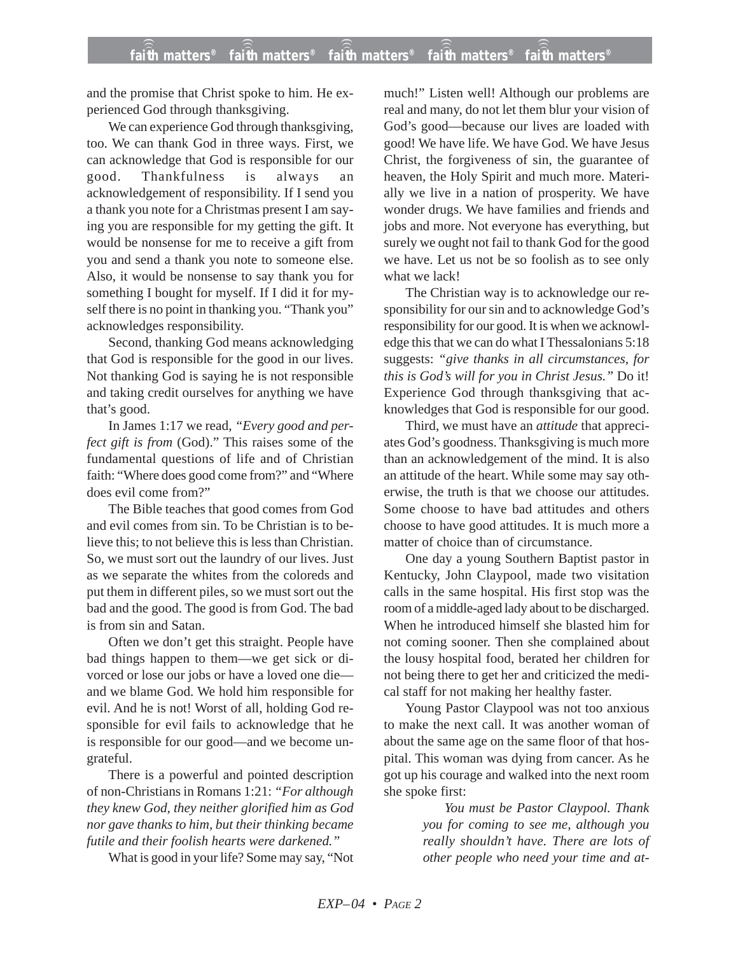and the promise that Christ spoke to him. He experienced God through thanksgiving.

We can experience God through thanksgiving, too. We can thank God in three ways. First, we can acknowledge that God is responsible for our good. Thankfulness is always an acknowledgement of responsibility. If I send you a thank you note for a Christmas present I am saying you are responsible for my getting the gift. It would be nonsense for me to receive a gift from you and send a thank you note to someone else. Also, it would be nonsense to say thank you for something I bought for myself. If I did it for myself there is no point in thanking you. "Thank you" acknowledges responsibility.

Second, thanking God means acknowledging that God is responsible for the good in our lives. Not thanking God is saying he is not responsible and taking credit ourselves for anything we have that's good.

In James 1:17 we read, *"Every good and perfect gift is from* (God)." This raises some of the fundamental questions of life and of Christian faith: "Where does good come from?" and "Where does evil come from?"

The Bible teaches that good comes from God and evil comes from sin. To be Christian is to believe this; to not believe this is less than Christian. So, we must sort out the laundry of our lives. Just as we separate the whites from the coloreds and put them in different piles, so we must sort out the bad and the good. The good is from God. The bad is from sin and Satan.

Often we don't get this straight. People have bad things happen to them—we get sick or divorced or lose our jobs or have a loved one die and we blame God. We hold him responsible for evil. And he is not! Worst of all, holding God responsible for evil fails to acknowledge that he is responsible for our good—and we become ungrateful.

There is a powerful and pointed description of non-Christians in Romans 1:21: *"For although they knew God, they neither glorified him as God nor gave thanks to him, but their thinking became futile and their foolish hearts were darkened."*

What is good in your life? Some may say, "Not

much!" Listen well! Although our problems are real and many, do not let them blur your vision of God's good—because our lives are loaded with good! We have life. We have God. We have Jesus Christ, the forgiveness of sin, the guarantee of heaven, the Holy Spirit and much more. Materially we live in a nation of prosperity. We have wonder drugs. We have families and friends and jobs and more. Not everyone has everything, but surely we ought not fail to thank God for the good we have. Let us not be so foolish as to see only what we lack!

The Christian way is to acknowledge our responsibility for our sin and to acknowledge God's responsibility for our good. It is when we acknowledge this that we can do what I Thessalonians 5:18 suggests: *"give thanks in all circumstances, for this is God's will for you in Christ Jesus."* Do it! Experience God through thanksgiving that acknowledges that God is responsible for our good.

Third, we must have an *attitude* that appreciates God's goodness. Thanksgiving is much more than an acknowledgement of the mind. It is also an attitude of the heart. While some may say otherwise, the truth is that we choose our attitudes. Some choose to have bad attitudes and others choose to have good attitudes. It is much more a matter of choice than of circumstance.

One day a young Southern Baptist pastor in Kentucky, John Claypool, made two visitation calls in the same hospital. His first stop was the room of a middle-aged lady about to be discharged. When he introduced himself she blasted him for not coming sooner. Then she complained about the lousy hospital food, berated her children for not being there to get her and criticized the medical staff for not making her healthy faster.

Young Pastor Claypool was not too anxious to make the next call. It was another woman of about the same age on the same floor of that hospital. This woman was dying from cancer. As he got up his courage and walked into the next room she spoke first:

> *You must be Pastor Claypool. Thank you for coming to see me, although you really shouldn't have. There are lots of other people who need your time and at-*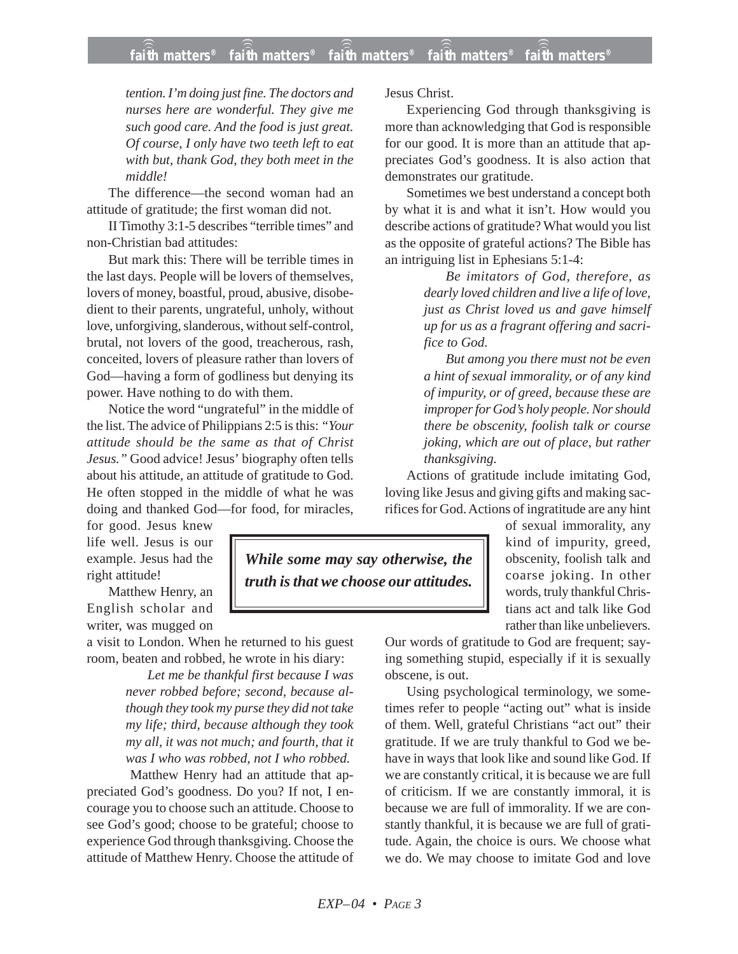## **faith matters® faith matters® faith matters® faith matters® faith matters®** ))) ))) ))) ))) )))

*tention. I'm doing just fine. The doctors and nurses here are wonderful. They give me such good care. And the food is just great. Of course, I only have two teeth left to eat with but, thank God, they both meet in the middle!*

The difference—the second woman had an attitude of gratitude; the first woman did not.

II Timothy 3:1-5 describes "terrible times" and non-Christian bad attitudes:

But mark this: There will be terrible times in the last days. People will be lovers of themselves, lovers of money, boastful, proud, abusive, disobedient to their parents, ungrateful, unholy, without love, unforgiving, slanderous, without self-control, brutal, not lovers of the good, treacherous, rash, conceited, lovers of pleasure rather than lovers of God—having a form of godliness but denying its power. Have nothing to do with them.

Notice the word "ungrateful" in the middle of the list. The advice of Philippians 2:5 is this: *"Your attitude should be the same as that of Christ Jesus."* Good advice! Jesus' biography often tells about his attitude, an attitude of gratitude to God. He often stopped in the middle of what he was doing and thanked God—for food, for miracles,

for good. Jesus knew life well. Jesus is our example. Jesus had the right attitude!

Matthew Henry, an English scholar and writer, was mugged on

a visit to London. When he returned to his guest room, beaten and robbed, he wrote in his diary:

> *Let me be thankful first because I was never robbed before; second, because although they took my purse they did not take my life; third, because although they took my all, it was not much; and fourth, that it was I who was robbed, not I who robbed.*

Matthew Henry had an attitude that appreciated God's goodness. Do you? If not, I encourage you to choose such an attitude. Choose to see God's good; choose to be grateful; choose to experience God through thanksgiving. Choose the attitude of Matthew Henry. Choose the attitude of Jesus Christ.

Experiencing God through thanksgiving is more than acknowledging that God is responsible for our good. It is more than an attitude that appreciates God's goodness. It is also action that demonstrates our gratitude.

Sometimes we best understand a concept both by what it is and what it isn't. How would you describe actions of gratitude? What would you list as the opposite of grateful actions? The Bible has an intriguing list in Ephesians 5:1-4:

> *Be imitators of God, therefore, as dearly loved children and live a life of love, just as Christ loved us and gave himself up for us as a fragrant offering and sacrifice to God.*

> *But among you there must not be even a hint of sexual immorality, or of any kind of impurity, or of greed, because these are improper for God's holy people. Nor should there be obscenity, foolish talk or course joking, which are out of place, but rather thanksgiving.*

Actions of gratitude include imitating God, loving like Jesus and giving gifts and making sacrifices for God. Actions of ingratitude are any hint

> of sexual immorality, any kind of impurity, greed, obscenity, foolish talk and coarse joking. In other words, truly thankful Christians act and talk like God rather than like unbelievers.

Our words of gratitude to God are frequent; saying something stupid, especially if it is sexually obscene, is out.

Using psychological terminology, we sometimes refer to people "acting out" what is inside of them. Well, grateful Christians "act out" their gratitude. If we are truly thankful to God we behave in ways that look like and sound like God. If we are constantly critical, it is because we are full of criticism. If we are constantly immoral, it is because we are full of immorality. If we are constantly thankful, it is because we are full of gratitude. Again, the choice is ours. We choose what we do. We may choose to imitate God and love

*While some may say otherwise, the truth is that we choose our attitudes.*